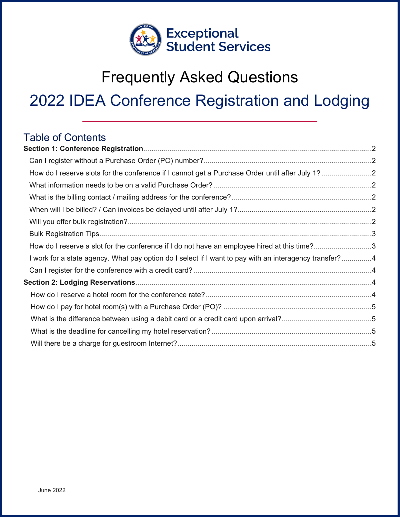

# Frequently Asked Questions 2022 IDEA Conference Registration and Lodging

# Table of Contents

| How do I reserve slots for the conference if I cannot get a Purchase Order until after July 1? 2       |  |
|--------------------------------------------------------------------------------------------------------|--|
|                                                                                                        |  |
|                                                                                                        |  |
|                                                                                                        |  |
|                                                                                                        |  |
|                                                                                                        |  |
| How do I reserve a slot for the conference if I do not have an employee hired at this time?3           |  |
| I work for a state agency. What pay option do I select if I want to pay with an interagency transfer?4 |  |
|                                                                                                        |  |
|                                                                                                        |  |
|                                                                                                        |  |
|                                                                                                        |  |
|                                                                                                        |  |
|                                                                                                        |  |
|                                                                                                        |  |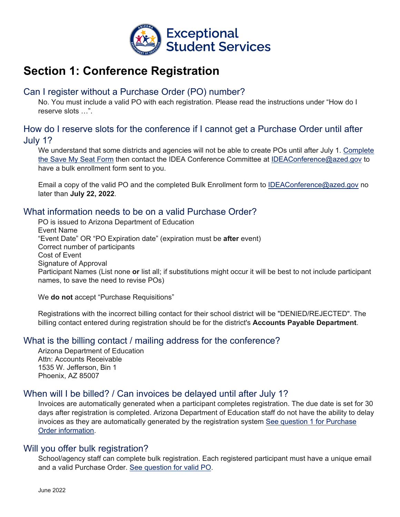

# <span id="page-1-0"></span>**Section 1: Conference Registration**

# <span id="page-1-1"></span>Can I register without a Purchase Order (PO) number?

No. You must include a valid PO with each registration. Please read the instructions under "How do I reserve slots …".

### <span id="page-1-2"></span>How do I reserve slots for the conference if I cannot get a Purchase Order until after July 1?

We understand that some districts and agencies will not be able to create POs until after July 1. Complete [the Save My Seat Form](https://bit.ly/IDEA22-SaveASeat) then contact the IDEA Conference Committee at [IDEAConference@azed.gov](mailto:Ideaconference@azed.gov) to have a bulk enrollment form sent to you.

Email a copy of the valid PO and the completed Bulk Enrollment form to [IDEAConference@azed.gov](mailto:Ideaconference@azed.gov) no later than **July 22, 2022**.

#### <span id="page-1-3"></span>What information needs to be on a valid Purchase Order?

PO is issued to Arizona Department of Education Event Name "Event Date" OR "PO Expiration date" (expiration must be **after** event) Correct number of participants Cost of Event Signature of Approval Participant Names (List none **or** list all; if substitutions might occur it will be best to not include participant names, to save the need to revise POs)

We **do not** accept "Purchase Requisitions"

Registrations with the incorrect billing contact for their school district will be "DENIED/REJECTED". The billing contact entered during registration should be for the district's **Accounts Payable Department**.

#### <span id="page-1-4"></span>What is the billing contact / mailing address for the conference?

Arizona Department of Education Attn: Accounts Receivable 1535 W. Jefferson, Bin 1 Phoenix, AZ 85007

#### <span id="page-1-5"></span>When will I be billed? / Can invoices be delayed until after July 1?

Invoices are automatically generated when a participant completes registration. The due date is set for 30 days after registration is completed. Arizona Department of Education staff do not have the ability to delay invoices as they are automatically generated by the registration system See question 1 for Purchase Order information.

#### <span id="page-1-6"></span>Will you offer bulk registration?

School/agency staff can complete bulk registration. Each registered participant must have a unique email and a valid Purchase Order. [See question for valid PO.](#page-1-3)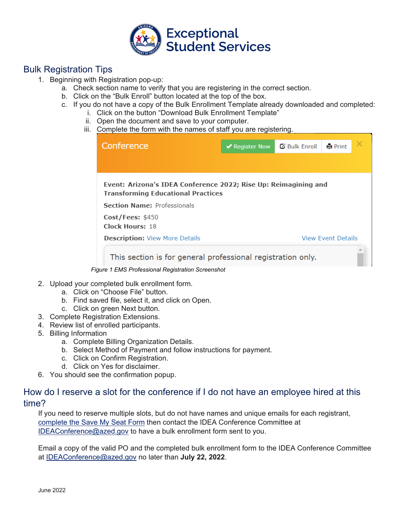

# <span id="page-2-0"></span>Bulk Registration Tips

- 1. Beginning with Registration pop-up:
	- a. Check section name to verify that you are registering in the correct section.
	- b. Click on the "Bulk Enroll" button located at the top of the box.
	- c. If you do not have a copy of the Bulk Enrollment Template already downloaded and completed:
		- i. Click on the button "Download Bulk Enrollment Template"
		- ii. Open the document and save to your computer.
		- iii. Complete the form with the names of staff you are registering.

| Conference                                                      | $\blacktriangleright$ Register Now | <b>乙 Bulk Enroll</b> | <b>e</b> Print            |  |
|-----------------------------------------------------------------|------------------------------------|----------------------|---------------------------|--|
|                                                                 |                                    |                      |                           |  |
|                                                                 |                                    |                      |                           |  |
| Event: Arizona's IDEA Conference 2022; Rise Up: Reimagining and |                                    |                      |                           |  |
| <b>Transforming Educational Practices</b>                       |                                    |                      |                           |  |
| <b>Section Name: Professionals</b>                              |                                    |                      |                           |  |
| Cost/Fees: \$450                                                |                                    |                      |                           |  |
| Clock Hours: 18                                                 |                                    |                      |                           |  |
| <b>Description: View More Details</b>                           |                                    |                      | <b>View Event Details</b> |  |
| This section is for general professional registration only.     |                                    |                      |                           |  |

*Figure 1 EMS Professional Registration Screenshot*

- 2. Upload your completed bulk enrollment form.
	- a. Click on "Choose File" button.
	- b. Find saved file, select it, and click on Open.
	- c. Click on green Next button.
- 3. Complete Registration Extensions.
- 4. Review list of enrolled participants.
- 5. Billing Information
	- a. Complete Billing Organization Details.
	- b. Select Method of Payment and follow instructions for payment.
	- c. Click on Confirm Registration.
	- d. Click on Yes for disclaimer.
- 6. You should see the confirmation popup.

#### <span id="page-2-1"></span>How do I reserve a slot for the conference if I do not have an employee hired at this time?

If you need to reserve multiple slots, but do not have names and unique emails for each registrant, [complete the Save My Seat Form](https://bit.ly/IDEA22-SaveASeat) then contact the IDEA Conference Committee at [IDEAConference@azed.gov](mailto:Ideaconference@azed.gov) to have a bulk enrollment form sent to you.

Email a copy of the valid PO and the completed bulk enrollment form to the IDEA Conference Committee at [IDEAConference@azed.gov](mailto:Ideaconference@azed.gov) no later than **July 22, 2022**.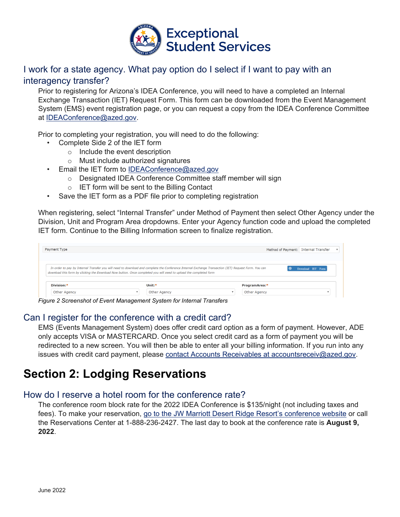

# <span id="page-3-0"></span>I work for a state agency. What pay option do I select if I want to pay with an interagency transfer?

Prior to registering for Arizona's IDEA Conference, you will need to have a completed an Internal Exchange Transaction (IET) Request Form. This form can be downloaded from the Event Management System (EMS) event registration page, or you can request a copy from the IDEA Conference Committee at [IDEAConference@azed.gov.](mailto:Ideaconference@azed.gov)

Prior to completing your registration, you will need to do the following:

- Complete Side 2 of the IET form
	- o Include the event description
	- o Must include authorized signatures
- Email the IET form to [IDEAConference@azed.gov](mailto:Ideaconference@azed.gov)
	- o Designated IDEA Conference Committee staff member will sign
	- o IET form will be sent to the Billing Contact
- Save the IET form as a PDF file prior to completing registration

When registering, select "Internal Transfer" under Method of Payment then select Other Agency under the Division, Unit and Program Area dropdowns. Enter your Agency function code and upload the completed IET form. Continue to the Billing Information screen to finalize registration.

| Payment Type |                                                                                                                                                      | Method of Payment: Internal Transfer |  |
|--------------|------------------------------------------------------------------------------------------------------------------------------------------------------|--------------------------------------|--|
|              |                                                                                                                                                      |                                      |  |
|              | In order to pay by Internal Transfer you will need to download and complete the Conference Internal Exchange Transaction (IET) Request Form. You can | Download IET Form                    |  |
| Division:*   | download this form by clicking the Download Now button. Once completed you will need to upload the completed form<br>Unit: $*$                       | ProgramArea:*                        |  |

*Figure 2 Screenshot of Event Management System for Internal Transfers*

#### <span id="page-3-1"></span>Can I register for the conference with a credit card?

EMS (Events Management System) does offer credit card option as a form of payment. However, ADE only accepts VISA or MASTERCARD. Once you select credit card as a form of payment you will be redirected to a new screen. You will then be able to enter all your billing information. If you run into any issues with credit card payment, please [contact Accounts Receivables at accountsreceiv@azed.gov.](mailto:accountsreceiv@azed.gov)

# <span id="page-3-2"></span>**Section 2: Lodging Reservations**

#### <span id="page-3-3"></span>How do I reserve a hotel room for the conference rate?

The conference room block rate for the 2022 IDEA Conference is \$135/night (not including taxes and fees). To make your reservation, go to the JW Marriott Desert [Ridge Resort's conference website](https://book.passkey.com/go/AZDeptofEducation2022) or call the Reservations Center at 1-888-236-2427. The last day to book at the conference rate is **August 9, 2022**.